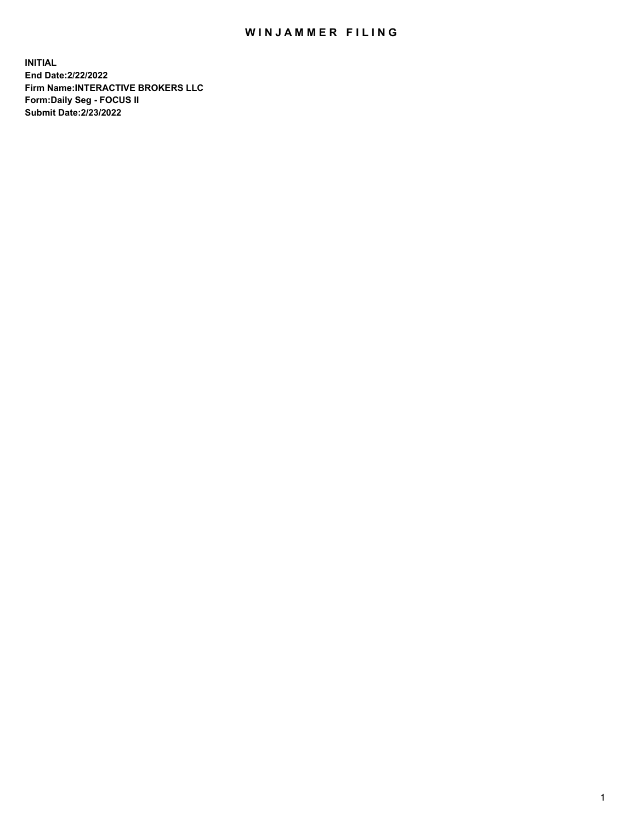## WIN JAMMER FILING

**INITIAL End Date:2/22/2022 Firm Name:INTERACTIVE BROKERS LLC Form:Daily Seg - FOCUS II Submit Date:2/23/2022**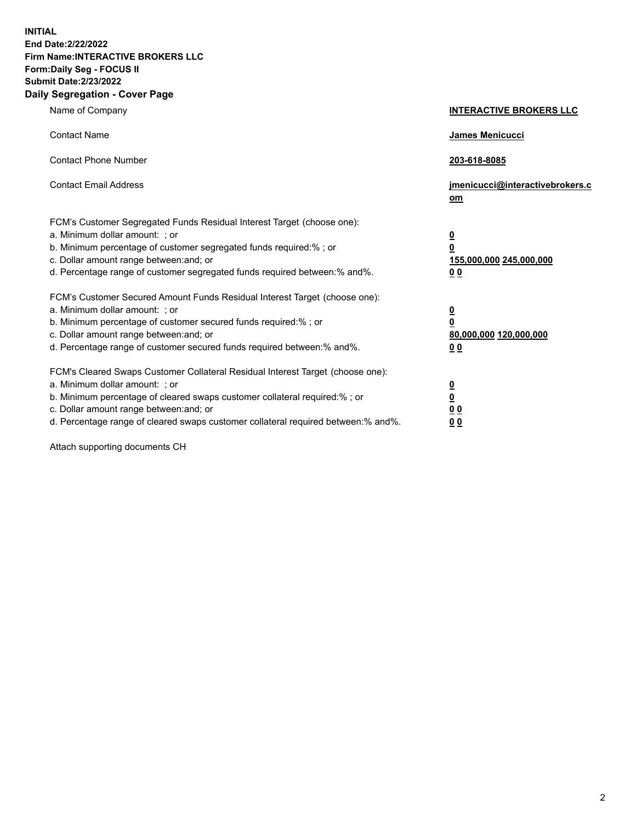**INITIAL End Date:2/22/2022 Firm Name:INTERACTIVE BROKERS LLC Form:Daily Seg - FOCUS II Submit Date:2/23/2022 Daily Segregation - Cover Page**

| Name of Company                                                                                                                                                                                                                                                                                                               | <b>INTERACTIVE BROKERS LLC</b>                                                                  |
|-------------------------------------------------------------------------------------------------------------------------------------------------------------------------------------------------------------------------------------------------------------------------------------------------------------------------------|-------------------------------------------------------------------------------------------------|
| <b>Contact Name</b>                                                                                                                                                                                                                                                                                                           | James Menicucci                                                                                 |
| <b>Contact Phone Number</b>                                                                                                                                                                                                                                                                                                   | 203-618-8085                                                                                    |
| <b>Contact Email Address</b>                                                                                                                                                                                                                                                                                                  | jmenicucci@interactivebrokers.c<br><u>om</u>                                                    |
| FCM's Customer Segregated Funds Residual Interest Target (choose one):<br>a. Minimum dollar amount: ; or<br>b. Minimum percentage of customer segregated funds required:% ; or<br>c. Dollar amount range between: and; or<br>d. Percentage range of customer segregated funds required between:% and%.                        | $\overline{\mathbf{0}}$<br>$\overline{\mathbf{0}}$<br>155,000,000 245,000,000<br>0 <sub>0</sub> |
| FCM's Customer Secured Amount Funds Residual Interest Target (choose one):<br>a. Minimum dollar amount: ; or<br>b. Minimum percentage of customer secured funds required:%; or<br>c. Dollar amount range between: and; or<br>d. Percentage range of customer secured funds required between:% and%.                           | $\overline{\mathbf{0}}$<br>$\overline{\mathbf{0}}$<br>80,000,000 120,000,000<br>0 <sub>0</sub>  |
| FCM's Cleared Swaps Customer Collateral Residual Interest Target (choose one):<br>a. Minimum dollar amount: ; or<br>b. Minimum percentage of cleared swaps customer collateral required:%; or<br>c. Dollar amount range between: and; or<br>d. Percentage range of cleared swaps customer collateral required between:% and%. | $\overline{\mathbf{0}}$<br>$\overline{\mathbf{0}}$<br>0 <sub>0</sub><br>0 <sub>0</sub>          |

Attach supporting documents CH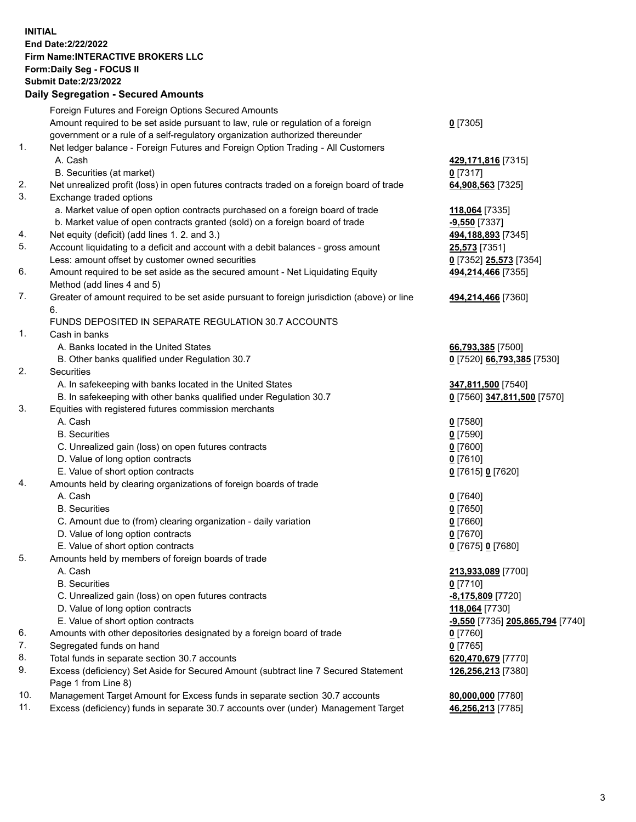**INITIAL End Date:2/22/2022 Firm Name:INTERACTIVE BROKERS LLC Form:Daily Seg - FOCUS II Submit Date:2/23/2022 Daily Segregation - Secured Amounts**

|     | Foreign Futures and Foreign Options Secured Amounts                                               |                                               |
|-----|---------------------------------------------------------------------------------------------------|-----------------------------------------------|
|     | Amount required to be set aside pursuant to law, rule or regulation of a foreign                  | $0$ [7305]                                    |
|     | government or a rule of a self-regulatory organization authorized thereunder                      |                                               |
| 1.  | Net ledger balance - Foreign Futures and Foreign Option Trading - All Customers                   |                                               |
|     | A. Cash                                                                                           | 429,171,816 [7315]                            |
|     | B. Securities (at market)                                                                         | $0$ [7317]                                    |
| 2.  | Net unrealized profit (loss) in open futures contracts traded on a foreign board of trade         | 64,908,563 [7325]                             |
| 3.  | Exchange traded options                                                                           |                                               |
|     | a. Market value of open option contracts purchased on a foreign board of trade                    | 118,064 [7335]                                |
|     | b. Market value of open contracts granted (sold) on a foreign board of trade                      | $-9,550$ [7337]                               |
| 4.  | Net equity (deficit) (add lines 1. 2. and 3.)                                                     | 494,188,893 [7345]                            |
| 5.  | Account liquidating to a deficit and account with a debit balances - gross amount                 | 25,573 [7351]                                 |
|     | Less: amount offset by customer owned securities                                                  | 0 [7352] 25,573 [7354]                        |
| 6.  | Amount required to be set aside as the secured amount - Net Liquidating Equity                    | 494,214,466 [7355]                            |
|     | Method (add lines 4 and 5)                                                                        |                                               |
| 7.  | Greater of amount required to be set aside pursuant to foreign jurisdiction (above) or line<br>6. | 494,214,466 [7360]                            |
|     | FUNDS DEPOSITED IN SEPARATE REGULATION 30.7 ACCOUNTS                                              |                                               |
| 1.  | Cash in banks                                                                                     |                                               |
|     | A. Banks located in the United States                                                             | 66,793,385 [7500]                             |
|     | B. Other banks qualified under Regulation 30.7                                                    | 0 [7520] 66,793,385 [7530]                    |
| 2.  | Securities                                                                                        |                                               |
|     | A. In safekeeping with banks located in the United States                                         | 347,811,500 [7540]                            |
|     | B. In safekeeping with other banks qualified under Regulation 30.7                                | 0 [7560] 347,811,500 [7570]                   |
| 3.  | Equities with registered futures commission merchants                                             |                                               |
|     | A. Cash                                                                                           | $0$ [7580]                                    |
|     | <b>B.</b> Securities                                                                              | $0$ [7590]                                    |
|     | C. Unrealized gain (loss) on open futures contracts                                               | $0$ [7600]                                    |
|     | D. Value of long option contracts                                                                 | $0$ [7610]                                    |
|     | E. Value of short option contracts                                                                | 0 [7615] 0 [7620]                             |
| 4.  | Amounts held by clearing organizations of foreign boards of trade                                 |                                               |
|     | A. Cash                                                                                           | $Q$ [7640]                                    |
|     | <b>B.</b> Securities                                                                              | $0$ [7650]                                    |
|     | C. Amount due to (from) clearing organization - daily variation                                   | $0$ [7660]                                    |
|     | D. Value of long option contracts                                                                 | $0$ [7670]                                    |
|     | E. Value of short option contracts                                                                | 0 [7675] 0 [7680]                             |
| 5.  | Amounts held by members of foreign boards of trade                                                |                                               |
|     | A. Cash                                                                                           | 213,933,089 [7700]                            |
|     | <b>B.</b> Securities                                                                              | $0$ [7710]                                    |
|     | C. Unrealized gain (loss) on open futures contracts                                               | -8,175,809 [7720]                             |
|     | D. Value of long option contracts                                                                 | 118,064 [7730]                                |
|     | E. Value of short option contracts                                                                | <mark>-9,550</mark> [7735] 205,865,794 [7740] |
| 6.  | Amounts with other depositories designated by a foreign board of trade                            | $0$ [7760]                                    |
| 7.  | Segregated funds on hand                                                                          | $0$ [7765]                                    |
| 8.  | Total funds in separate section 30.7 accounts                                                     | 620,470,679 [7770]                            |
| 9.  | Excess (deficiency) Set Aside for Secured Amount (subtract line 7 Secured Statement               | 126,256,213 [7380]                            |
|     | Page 1 from Line 8)                                                                               |                                               |
| 10. | Management Target Amount for Excess funds in separate section 30.7 accounts                       | 80,000,000 [7780]                             |
| 11. | Excess (deficiency) funds in separate 30.7 accounts over (under) Management Target                | 46,256,213 [7785]                             |
|     |                                                                                                   |                                               |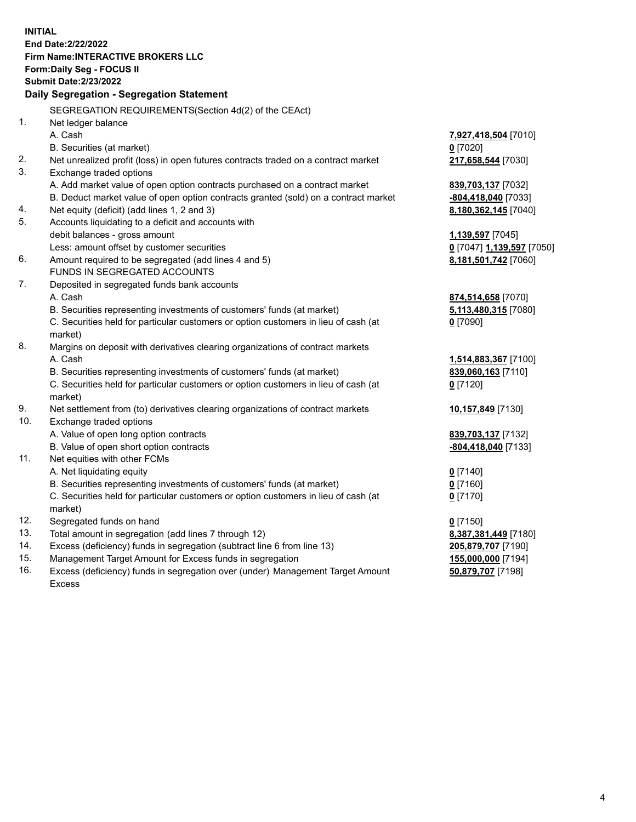**INITIAL End Date:2/22/2022 Firm Name:INTERACTIVE BROKERS LLC Form:Daily Seg - FOCUS II Submit Date:2/23/2022 Daily Segregation - Segregation Statement** SEGREGATION REQUIREMENTS(Section 4d(2) of the CEAct) 1. Net ledger balance A. Cash **7,927,418,504** [7010] B. Securities (at market) **0** [7020] 2. Net unrealized profit (loss) in open futures contracts traded on a contract market **217,658,544** [7030] 3. Exchange traded options A. Add market value of open option contracts purchased on a contract market **839,703,137** [7032] B. Deduct market value of open option contracts granted (sold) on a contract market **-804,418,040** [7033] 4. Net equity (deficit) (add lines 1, 2 and 3) **8,180,362,145** [7040] 5. Accounts liquidating to a deficit and accounts with debit balances - gross amount **1,139,597** [7045] Less: amount offset by customer securities **0** [7047] **1,139,597** [7050] 6. Amount required to be segregated (add lines 4 and 5) **8,181,501,742** [7060] FUNDS IN SEGREGATED ACCOUNTS 7. Deposited in segregated funds bank accounts A. Cash **874,514,658** [7070] B. Securities representing investments of customers' funds (at market) **5,113,480,315** [7080] C. Securities held for particular customers or option customers in lieu of cash (at market) **0** [7090] 8. Margins on deposit with derivatives clearing organizations of contract markets A. Cash **1,514,883,367** [7100] B. Securities representing investments of customers' funds (at market) **839,060,163** [7110] C. Securities held for particular customers or option customers in lieu of cash (at market) **0** [7120] 9. Net settlement from (to) derivatives clearing organizations of contract markets **10,157,849** [7130] 10. Exchange traded options A. Value of open long option contracts **839,703,137** [7132] B. Value of open short option contracts **-804,418,040** [7133] 11. Net equities with other FCMs A. Net liquidating equity **0** [7140] B. Securities representing investments of customers' funds (at market) **0** [7160] C. Securities held for particular customers or option customers in lieu of cash (at market) **0** [7170] 12. Segregated funds on hand **0** [7150] 13. Total amount in segregation (add lines 7 through 12) **8,387,381,449** [7180] 14. Excess (deficiency) funds in segregation (subtract line 6 from line 13) **205,879,707** [7190] 15. Management Target Amount for Excess funds in segregation **155,000,000** [7194] **50,879,707** [7198]

16. Excess (deficiency) funds in segregation over (under) Management Target Amount Excess